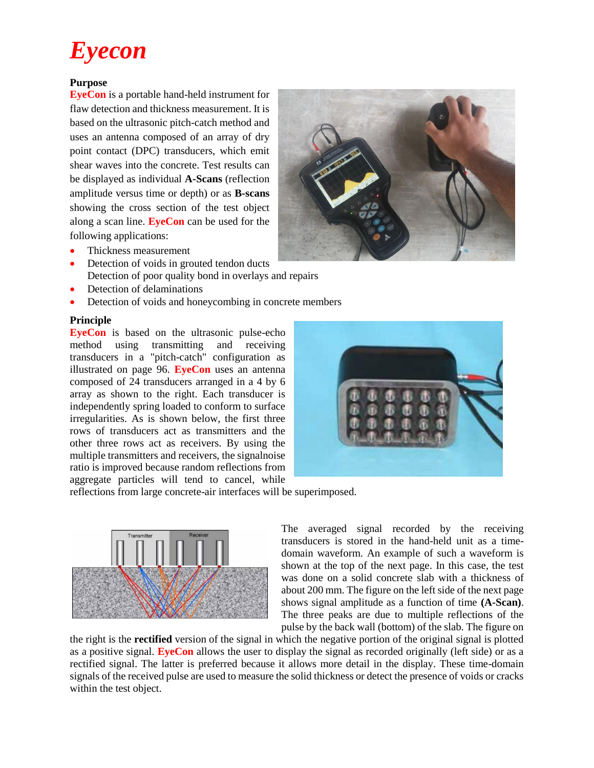# *Eyecon*

#### **Purpose**

**EyeCon** is a portable hand-held instrument for flaw detection and thickness measurement. It is based on the ultrasonic pitch-catch method and uses an antenna composed of an array of dry point contact (DPC) transducers, which emit shear waves into the concrete. Test results can be displayed as individual **A-Scans** (reflection amplitude versus time or depth) or as **B-scans** showing the cross section of the test object along a scan line. **EyeCon** can be used for the following applications:

- Thickness measurement
- Detection of voids in grouted tendon ducts Detection of poor quality bond in overlays and repairs
- Detection of delaminations
- Detection of voids and honeycombing in concrete members

#### **Principle**

**EyeCon** is based on the ultrasonic pulse-echo method using transmitting and receiving transducers in a "pitch-catch" configuration as illustrated on page 96. **EyeCon** uses an antenna composed of 24 transducers arranged in a 4 by 6 array as shown to the right. Each transducer is independently spring loaded to conform to surface irregularities. As is shown below, the first three rows of transducers act as transmitters and the other three rows act as receivers. By using the multiple transmitters and receivers, the signalnoise ratio is improved because random reflections from aggregate particles will tend to cancel, while



reflections from large concrete-air interfaces will be superimposed.



The averaged signal recorded by the receiving transducers is stored in the hand-held unit as a timedomain waveform. An example of such a waveform is shown at the top of the next page. In this case, the test was done on a solid concrete slab with a thickness of about 200 mm. The figure on the left side of the next page shows signal amplitude as a function of time **(A-Scan)**. The three peaks are due to multiple reflections of the pulse by the back wall (bottom) of the slab. The figure on

the right is the **rectified** version of the signal in which the negative portion of the original signal is plotted as a positive signal. **EyeCon** allows the user to display the signal as recorded originally (left side) or as a rectified signal. The latter is preferred because it allows more detail in the display. These time-domain signals of the received pulse are used to measure the solid thickness or detect the presence of voids or cracks within the test object.

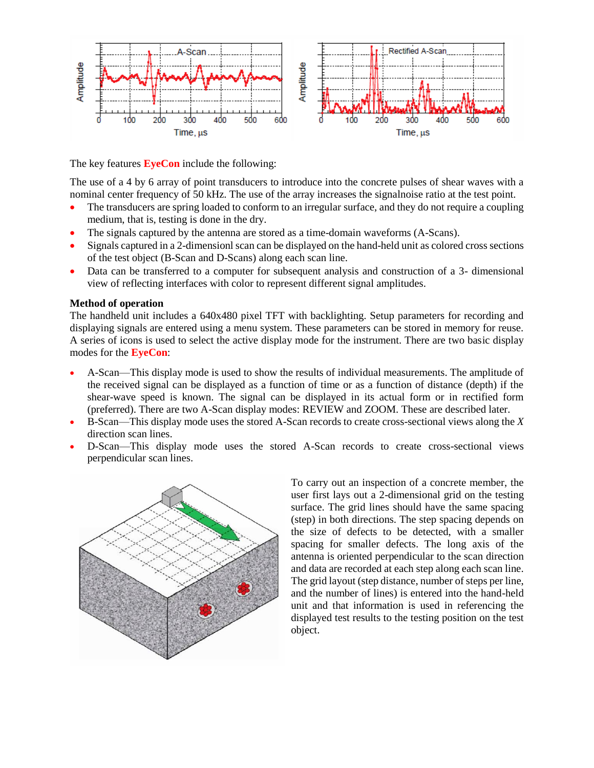

The key features **EyeCon** include the following:

The use of a 4 by 6 array of point transducers to introduce into the concrete pulses of shear waves with a nominal center frequency of 50 kHz. The use of the array increases the signalnoise ratio at the test point.

- The transducers are spring loaded to conform to an irregular surface, and they do not require a coupling medium, that is, testing is done in the dry.
- The signals captured by the antenna are stored as a time-domain waveforms (A-Scans).
- Signals captured in a 2-dimensionl scan can be displayed on the hand-held unit as colored cross sections of the test object (B-Scan and D-Scans) along each scan line.
- Data can be transferred to a computer for subsequent analysis and construction of a 3- dimensional view of reflecting interfaces with color to represent different signal amplitudes.

### **Method of operation**

The handheld unit includes a 640x480 pixel TFT with backlighting. Setup parameters for recording and displaying signals are entered using a menu system. These parameters can be stored in memory for reuse. A series of icons is used to select the active display mode for the instrument. There are two basic display modes for the **EyeCon**:

- A-Scan—This display mode is used to show the results of individual measurements. The amplitude of the received signal can be displayed as a function of time or as a function of distance (depth) if the shear-wave speed is known. The signal can be displayed in its actual form or in rectified form (preferred). There are two A-Scan display modes: REVIEW and ZOOM. These are described later.
- B-Scan—This display mode uses the stored A-Scan records to create cross-sectional views along the *X* direction scan lines.
- D-Scan—This display mode uses the stored A-Scan records to create cross-sectional views perpendicular scan lines.



To carry out an inspection of a concrete member, the user first lays out a 2-dimensional grid on the testing surface. The grid lines should have the same spacing (step) in both directions. The step spacing depends on the size of defects to be detected, with a smaller spacing for smaller defects. The long axis of the antenna is oriented perpendicular to the scan direction and data are recorded at each step along each scan line. The grid layout (step distance, number of steps per line, and the number of lines) is entered into the hand-held unit and that information is used in referencing the displayed test results to the testing position on the test object.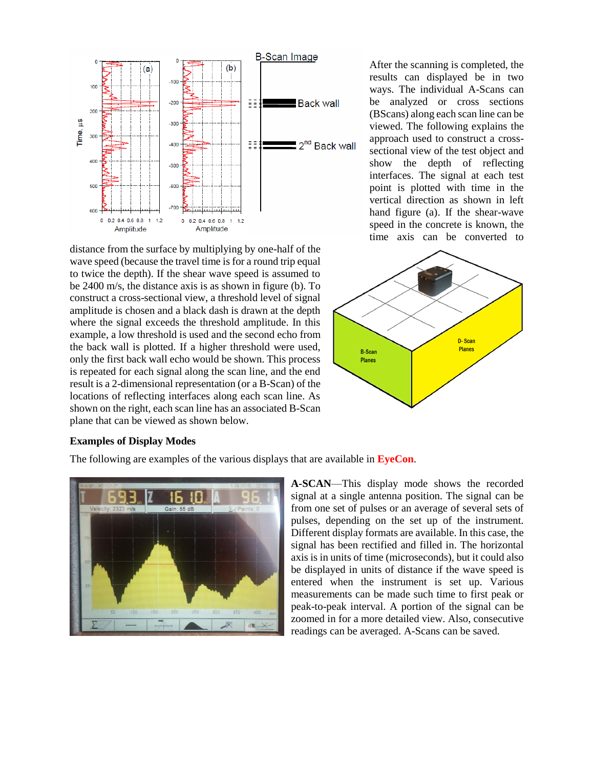

distance from the surface by multiplying by one-half of the wave speed (because the travel time is for a round trip equal to twice the depth). If the shear wave speed is assumed to be 2400 m/s, the distance axis is as shown in figure (b). To construct a cross-sectional view, a threshold level of signal amplitude is chosen and a black dash is drawn at the depth where the signal exceeds the threshold amplitude. In this example, a low threshold is used and the second echo from the back wall is plotted. If a higher threshold were used, only the first back wall echo would be shown. This process is repeated for each signal along the scan line, and the end result is a 2-dimensional representation (or a B-Scan) of the locations of reflecting interfaces along each scan line. As shown on the right, each scan line has an associated B-Scan plane that can be viewed as shown below.

After the scanning is completed, the results can displayed be in two ways. The individual A-Scans can be analyzed or cross sections (BScans) along each scan line can be viewed. The following explains the approach used to construct a crosssectional view of the test object and show the depth of reflecting interfaces. The signal at each test point is plotted with time in the vertical direction as shown in left hand figure (a). If the shear-wave speed in the concrete is known, the time axis can be converted to



#### **Examples of Display Modes**

The following are examples of the various displays that are available in **EyeCon**.



**A-SCAN**—This display mode shows the recorded signal at a single antenna position. The signal can be from one set of pulses or an average of several sets of pulses, depending on the set up of the instrument. Different display formats are available. In this case, the signal has been rectified and filled in. The horizontal axis is in units of time (microseconds), but it could also be displayed in units of distance if the wave speed is entered when the instrument is set up. Various measurements can be made such time to first peak or peak-to-peak interval. A portion of the signal can be zoomed in for a more detailed view. Also, consecutive readings can be averaged. A-Scans can be saved.